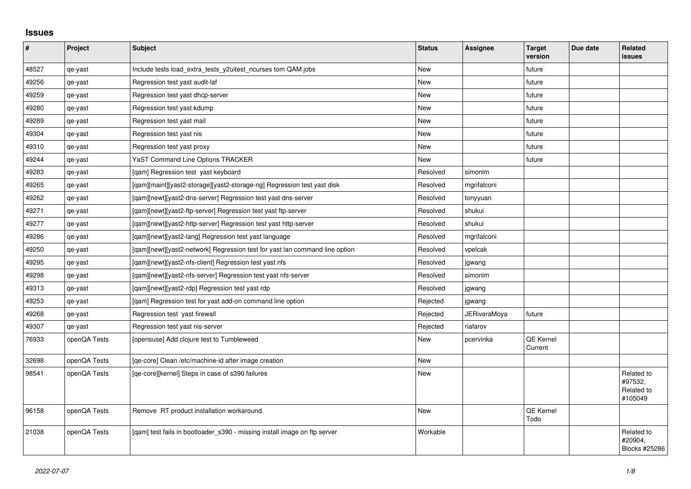## **Issues**

| $\vert$ # | Project      | <b>Subject</b>                                                              | <b>Status</b> | <b>Assignee</b>     | <b>Target</b><br>version    | Due date | <b>Related</b><br>issues                       |
|-----------|--------------|-----------------------------------------------------------------------------|---------------|---------------------|-----------------------------|----------|------------------------------------------------|
| 48527     | qe-yast      | Include tests load_extra_tests_y2uitest_ncurses tom QAM jobs                | <b>New</b>    |                     | future                      |          |                                                |
| 49256     | qe-yast      | Regression test yast audit-laf                                              | New           |                     | future                      |          |                                                |
| 49259     | qe-yast      | Regression test yast dhcp-server                                            | New           |                     | future                      |          |                                                |
| 49280     | qe-yast      | Regression test yast kdump                                                  | <b>New</b>    |                     | future                      |          |                                                |
| 49289     | qe-yast      | Regression test yast mail                                                   | New           |                     | future                      |          |                                                |
| 49304     | qe-yast      | Regression test yast nis                                                    | <b>New</b>    |                     | future                      |          |                                                |
| 49310     | qe-yast      | Regression test yast proxy                                                  | New           |                     | future                      |          |                                                |
| 49244     | qe-yast      | YaST Command Line Options TRACKER                                           | <b>New</b>    |                     | future                      |          |                                                |
| 49283     | qe-yast      | [gam] Regression test yast keyboard                                         | Resolved      | simonlm             |                             |          |                                                |
| 49265     | qe-yast      | [qam][maint][yast2-storage][yast2-storage-ng] Regression test yast disk     | Resolved      | mgrifalconi         |                             |          |                                                |
| 49262     | qe-yast      | [qam][newt][yast2-dns-server] Regression test yast dns-server               | Resolved      | tonyyuan            |                             |          |                                                |
| 49271     | qe-yast      | [qam][newt][yast2-ftp-server] Regression test yast ftp-server               | Resolved      | shukui              |                             |          |                                                |
| 49277     | qe-yast      | [qam][newt][yast2-http-server] Regression test yast http-server             | Resolved      | shukui              |                             |          |                                                |
| 49286     | qe-yast      | [gam][newt][yast2-lang] Regression test yast language                       | Resolved      | mgrifalconi         |                             |          |                                                |
| 49250     | qe-yast      | [gam][newt][yast2-network] Regression test for yast lan command line option | Resolved      | vpelcak             |                             |          |                                                |
| 49295     | qe-yast      | [qam][newt][yast2-nfs-client] Regression test yast nfs                      | Resolved      | jgwang              |                             |          |                                                |
| 49298     | qe-yast      | [qam][newt][yast2-nfs-server] Regression test yast nfs-server               | Resolved      | simonlm             |                             |          |                                                |
| 49313     | qe-yast      | [qam][newt][yast2-rdp] Regression test yast rdp                             | Resolved      | jgwang              |                             |          |                                                |
| 49253     | qe-yast      | [qam] Regression test for yast add-on command line option                   | Rejected      | jgwang              |                             |          |                                                |
| 49268     | qe-yast      | Regression test yast firewall                                               | Rejected      | <b>JERiveraMoya</b> | future                      |          |                                                |
| 49307     | qe-yast      | Regression test yast nis-server                                             | Rejected      | riafarov            |                             |          |                                                |
| 76933     | openQA Tests | [opensuse] Add clojure test to Tumbleweed                                   | <b>New</b>    | pcervinka           | <b>QE Kernel</b><br>Current |          |                                                |
| 32698     | openQA Tests | [ge-core] Clean /etc/machine-id after image creation                        | <b>New</b>    |                     |                             |          |                                                |
| 98541     | openQA Tests | [qe-core][kernel] Steps in case of s390 failures                            | New           |                     |                             |          | Related to<br>#97532,<br>Related to<br>#105049 |
| 96158     | openQA Tests | Remove RT product installation workaround                                   | New           |                     | QE Kernel<br>Todo           |          |                                                |
| 21038     | openQA Tests | [qam] test fails in bootloader_s390 - missing install image on ftp server   | Workable      |                     |                             |          | Related to<br>#20904,<br>Blocks #25286         |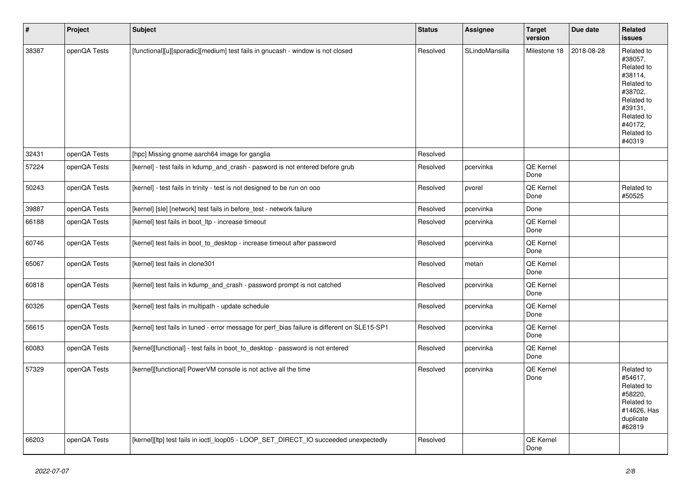| $\vert$ # | Project      | <b>Subject</b>                                                                               | <b>Status</b> | Assignee       | <b>Target</b><br>version | Due date   | Related<br><b>issues</b>                                                                                                                          |
|-----------|--------------|----------------------------------------------------------------------------------------------|---------------|----------------|--------------------------|------------|---------------------------------------------------------------------------------------------------------------------------------------------------|
| 38387     | openQA Tests | [functional][u][sporadic][medium] test fails in gnucash - window is not closed               | Resolved      | SLindoMansilla | Milestone 18             | 2018-08-28 | Related to<br>#38057,<br>Related to<br>#38114,<br>Related to<br>#38702,<br>Related to<br>#39131.<br>Related to<br>#40172,<br>Related to<br>#40319 |
| 32431     | openQA Tests | [hpc] Missing gnome aarch64 image for ganglia                                                | Resolved      |                |                          |            |                                                                                                                                                   |
| 57224     | openQA Tests | [kernel] - test fails in kdump_and_crash - pasword is not entered before grub                | Resolved      | pcervinka      | QE Kernel<br>Done        |            |                                                                                                                                                   |
| 50243     | openQA Tests | [kernel] - test fails in trinity - test is not designed to be run on ooo                     | Resolved      | pvorel         | QE Kernel<br>Done        |            | Related to<br>#50525                                                                                                                              |
| 39887     | openQA Tests | [kernel] [sle] [network] test fails in before_test - network failure                         | Resolved      | pcervinka      | Done                     |            |                                                                                                                                                   |
| 66188     | openQA Tests | [kernel] test fails in boot_ltp - increase timeout                                           | Resolved      | pcervinka      | QE Kernel<br>Done        |            |                                                                                                                                                   |
| 60746     | openQA Tests | [kernel] test fails in boot_to_desktop - increase timeout after password                     | Resolved      | pcervinka      | <b>QE Kernel</b><br>Done |            |                                                                                                                                                   |
| 65067     | openQA Tests | [kernel] test fails in clone301                                                              | Resolved      | metan          | QE Kernel<br>Done        |            |                                                                                                                                                   |
| 60818     | openQA Tests | [kernel] test fails in kdump and crash - password prompt is not catched                      | Resolved      | pcervinka      | QE Kernel<br>Done        |            |                                                                                                                                                   |
| 60326     | openQA Tests | [kernel] test fails in multipath - update schedule                                           | Resolved      | pcervinka      | QE Kernel<br>Done        |            |                                                                                                                                                   |
| 56615     | openQA Tests | [kernel] test fails in tuned - error message for perf bias failure is different on SLE15-SP1 | Resolved      | pcervinka      | QE Kernel<br>Done        |            |                                                                                                                                                   |
| 60083     | openQA Tests | [kernel][functional] - test fails in boot_to_desktop - password is not entered               | Resolved      | pcervinka      | QE Kernel<br>Done        |            |                                                                                                                                                   |
| 57329     | openQA Tests | [kernel][functional] PowerVM console is not active all the time                              | Resolved      | pcervinka      | QE Kernel<br>Done        |            | Related to<br>#54617,<br>Related to<br>#58220,<br>Related to<br>#14626, Has<br>duplicate<br>#62819                                                |
| 66203     | openQA Tests | [kernel][ltp] test fails in ioctl_loop05 - LOOP_SET_DIRECT_IO succeeded unexpectedly         | Resolved      |                | QE Kernel<br>Done        |            |                                                                                                                                                   |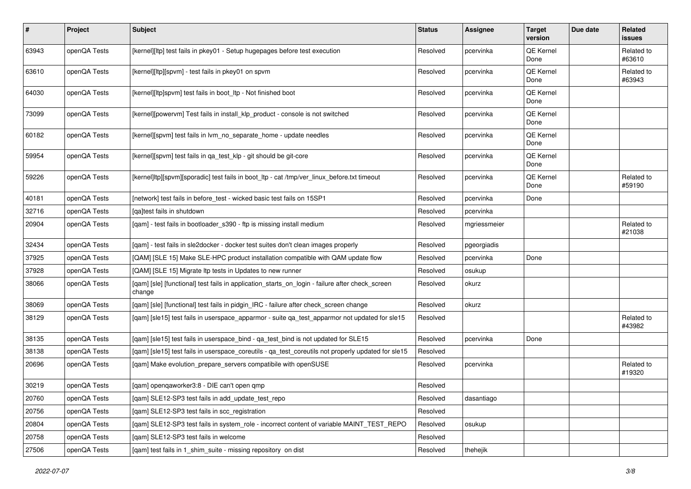| $\pmb{\#}$ | Project      | <b>Subject</b>                                                                                            | <b>Status</b> | Assignee     | <b>Target</b><br>version | Due date | Related<br><b>issues</b> |
|------------|--------------|-----------------------------------------------------------------------------------------------------------|---------------|--------------|--------------------------|----------|--------------------------|
| 63943      | openQA Tests | [kernel][ltp] test fails in pkey01 - Setup hugepages before test execution                                | Resolved      | pcervinka    | QE Kernel<br>Done        |          | Related to<br>#63610     |
| 63610      | openQA Tests | [kernel][ltp][spvm] - test fails in pkey01 on spvm                                                        | Resolved      | pcervinka    | QE Kernel<br>Done        |          | Related to<br>#63943     |
| 64030      | openQA Tests | [kernel][ltp]spvm] test fails in boot_ltp - Not finished boot                                             | Resolved      | pcervinka    | QE Kernel<br>Done        |          |                          |
| 73099      | openQA Tests | [kernel][powervm] Test fails in install_klp_product - console is not switched                             | Resolved      | pcervinka    | <b>QE Kernel</b><br>Done |          |                          |
| 60182      | openQA Tests | [kernel][spvm] test fails in lvm_no_separate_home - update needles                                        | Resolved      | pcervinka    | QE Kernel<br>Done        |          |                          |
| 59954      | openQA Tests | [kernel][spvm] test fails in qa_test_klp - git should be git-core                                         | Resolved      | pcervinka    | QE Kernel<br>Done        |          |                          |
| 59226      | openQA Tests | [kernel]ltp][spvm][sporadic] test fails in boot_ltp - cat /tmp/ver_linux_before.txt timeout               | Resolved      | pcervinka    | QE Kernel<br>Done        |          | Related to<br>#59190     |
| 40181      | openQA Tests | [network] test fails in before_test - wicked basic test fails on 15SP1                                    | Resolved      | pcervinka    | Done                     |          |                          |
| 32716      | openQA Tests | lgaltest fails in shutdown                                                                                | Resolved      | pcervinka    |                          |          |                          |
| 20904      | openQA Tests | [qam] - test fails in bootloader_s390 - ftp is missing install medium                                     | Resolved      | mgriessmeier |                          |          | Related to<br>#21038     |
| 32434      | openQA Tests | [qam] - test fails in sle2docker - docker test suites don't clean images properly                         | Resolved      | pgeorgiadis  |                          |          |                          |
| 37925      | openQA Tests | [QAM] [SLE 15] Make SLE-HPC product installation compatible with QAM update flow                          | Resolved      | pcervinka    | Done                     |          |                          |
| 37928      | openQA Tests | [QAM] [SLE 15] Migrate Itp tests in Updates to new runner                                                 | Resolved      | osukup       |                          |          |                          |
| 38066      | openQA Tests | [qam] [sle] [functional] test fails in application_starts_on_login - failure after check_screen<br>change | Resolved      | okurz        |                          |          |                          |
| 38069      | openQA Tests | [qam] [sle] [functional] test fails in pidgin_IRC - failure after check_screen change                     | Resolved      | okurz        |                          |          |                          |
| 38129      | openQA Tests | [qam] [sle15] test fails in userspace_apparmor - suite qa_test_apparmor not updated for sle15             | Resolved      |              |                          |          | Related to<br>#43982     |
| 38135      | openQA Tests | [qam] [sle15] test fails in userspace_bind - qa_test_bind is not updated for SLE15                        | Resolved      | pcervinka    | Done                     |          |                          |
| 38138      | openQA Tests | [qam] [sle15] test fails in userspace_coreutils - qa_test_coreutils not properly updated for sle15        | Resolved      |              |                          |          |                          |
| 20696      | openQA Tests | [qam] Make evolution_prepare_servers compatibile with openSUSE                                            | Resolved      | pcervinka    |                          |          | Related to<br>#19320     |
| 30219      | openQA Tests | [qam] openqaworker3:8 - DIE can't open qmp                                                                | Resolved      |              |                          |          |                          |
| 20760      | openQA Tests | [gam] SLE12-SP3 test fails in add update test repo                                                        | Resolved      | dasantiago   |                          |          |                          |
| 20756      | openQA Tests | [qam] SLE12-SP3 test fails in scc_registration                                                            | Resolved      |              |                          |          |                          |
| 20804      | openQA Tests | [qam] SLE12-SP3 test fails in system_role - incorrect content of variable MAINT_TEST_REPO                 | Resolved      | osukup       |                          |          |                          |
| 20758      | openQA Tests | [qam] SLE12-SP3 test fails in welcome                                                                     | Resolved      |              |                          |          |                          |
| 27506      | openQA Tests | [qam] test fails in 1_shim_suite - missing repository on dist                                             | Resolved      | thehejik     |                          |          |                          |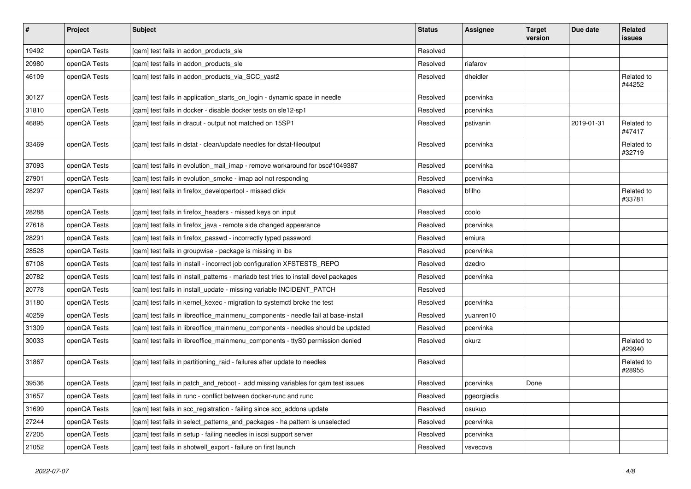| $\vert$ # | Project      | <b>Subject</b>                                                                      | <b>Status</b> | <b>Assignee</b> | <b>Target</b><br>version | Due date   | <b>Related</b><br>issues |
|-----------|--------------|-------------------------------------------------------------------------------------|---------------|-----------------|--------------------------|------------|--------------------------|
| 19492     | openQA Tests | [gam] test fails in addon products sle                                              | Resolved      |                 |                          |            |                          |
| 20980     | openQA Tests | [gam] test fails in addon products sle                                              | Resolved      | riafarov        |                          |            |                          |
| 46109     | openQA Tests | [qam] test fails in addon_products_via_SCC_yast2                                    | Resolved      | dheidler        |                          |            | Related to<br>#44252     |
| 30127     | openQA Tests | [gam] test fails in application starts on login - dynamic space in needle           | Resolved      | pcervinka       |                          |            |                          |
| 31810     | openQA Tests | [gam] test fails in docker - disable docker tests on sle12-sp1                      | Resolved      | pcervinka       |                          |            |                          |
| 46895     | openQA Tests | [qam] test fails in dracut - output not matched on 15SP1                            | Resolved      | pstivanin       |                          | 2019-01-31 | Related to<br>#47417     |
| 33469     | openQA Tests | [qam] test fails in dstat - clean/update needles for dstat-fileoutput               | Resolved      | pcervinka       |                          |            | Related to<br>#32719     |
| 37093     | openQA Tests | [qam] test fails in evolution_mail_imap - remove workaround for bsc#1049387         | Resolved      | pcervinka       |                          |            |                          |
| 27901     | openQA Tests | [qam] test fails in evolution_smoke - imap aol not responding                       | Resolved      | pcervinka       |                          |            |                          |
| 28297     | openQA Tests | [qam] test fails in firefox_developertool - missed click                            | Resolved      | bfilho          |                          |            | Related to<br>#33781     |
| 28288     | openQA Tests | [gam] test fails in firefox headers - missed keys on input                          | Resolved      | coolo           |                          |            |                          |
| 27618     | openQA Tests | [gam] test fails in firefox java - remote side changed appearance                   | Resolved      | pcervinka       |                          |            |                          |
| 28291     | openQA Tests | [qam] test fails in firefox_passwd - incorrectly typed password                     | Resolved      | emiura          |                          |            |                          |
| 28528     | openQA Tests | [gam] test fails in groupwise - package is missing in ibs                           | Resolved      | pcervinka       |                          |            |                          |
| 67108     | openQA Tests | [qam] test fails in install - incorrect job configuration XFSTESTS_REPO             | Resolved      | dzedro          |                          |            |                          |
| 20782     | openQA Tests | [qam] test fails in install_patterns - mariadb test tries to install devel packages | Resolved      | pcervinka       |                          |            |                          |
| 20778     | openQA Tests | [qam] test fails in install_update - missing variable INCIDENT_PATCH                | Resolved      |                 |                          |            |                          |
| 31180     | openQA Tests | [gam] test fails in kernel kexec - migration to systemctl broke the test            | Resolved      | pcervinka       |                          |            |                          |
| 40259     | openQA Tests | [gam] test fails in libreoffice mainmenu components - needle fail at base-install   | Resolved      | yuanren10       |                          |            |                          |
| 31309     | openQA Tests | [gam] test fails in libreoffice mainmenu components - needles should be updated     | Resolved      | pcervinka       |                          |            |                          |
| 30033     | openQA Tests | [gam] test fails in libreoffice mainmenu components - ttyS0 permission denied       | Resolved      | okurz           |                          |            | Related to<br>#29940     |
| 31867     | openQA Tests | [qam] test fails in partitioning_raid - failures after update to needles            | Resolved      |                 |                          |            | Related to<br>#28955     |
| 39536     | openQA Tests | [qam] test fails in patch_and_reboot - add missing variables for qam test issues    | Resolved      | pcervinka       | Done                     |            |                          |
| 31657     | openQA Tests | [gam] test fails in runc - conflict between docker-runc and runc                    | Resolved      | pgeorgiadis     |                          |            |                          |
| 31699     | openQA Tests | [gam] test fails in scc_registration - failing since scc_addons update              | Resolved      | osukup          |                          |            |                          |
| 27244     | openQA Tests | [gam] test fails in select_patterns_and_packages - ha pattern is unselected         | Resolved      | pcervinka       |                          |            |                          |
| 27205     | openQA Tests | [gam] test fails in setup - failing needles in iscsi support server                 | Resolved      | pcervinka       |                          |            |                          |
| 21052     | openQA Tests | [gam] test fails in shotwell export - failure on first launch                       | Resolved      | vsvecova        |                          |            |                          |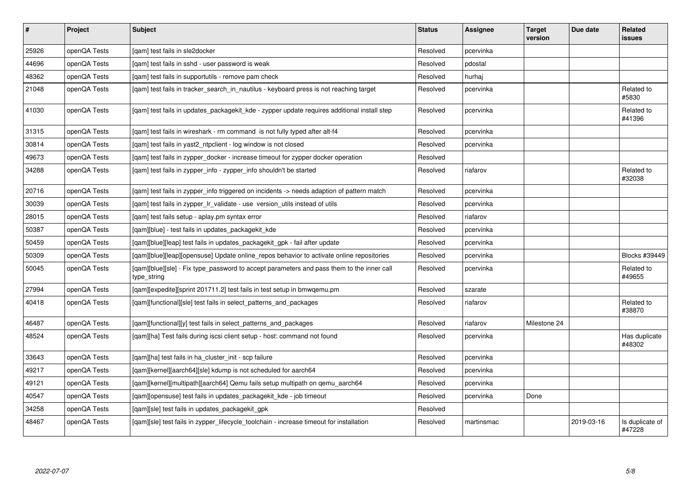| #     | Project      | Subject                                                                                                  | <b>Status</b> | Assignee   | <b>Target</b><br>version | Due date   | Related<br>issues         |
|-------|--------------|----------------------------------------------------------------------------------------------------------|---------------|------------|--------------------------|------------|---------------------------|
| 25926 | openQA Tests | [gam] test fails in sle2docker                                                                           | Resolved      | pcervinka  |                          |            |                           |
| 44696 | openQA Tests | [qam] test fails in sshd - user password is weak                                                         | Resolved      | pdostal    |                          |            |                           |
| 48362 | openQA Tests | [qam] test fails in supportutils - remove pam check                                                      | Resolved      | hurhaj     |                          |            |                           |
| 21048 | openQA Tests | [qam] test fails in tracker_search_in_nautilus - keyboard press is not reaching target                   | Resolved      | pcervinka  |                          |            | Related to<br>#5830       |
| 41030 | openQA Tests | [gam] test fails in updates packagekit kde - zypper update requires additional install step              | Resolved      | pcervinka  |                          |            | Related to<br>#41396      |
| 31315 | openQA Tests | [gam] test fails in wireshark - rm command is not fully typed after alt-f4                               | Resolved      | pcervinka  |                          |            |                           |
| 30814 | openQA Tests | [qam] test fails in yast2_ntpclient - log window is not closed                                           | Resolved      | pcervinka  |                          |            |                           |
| 49673 | openQA Tests | [gam] test fails in zypper docker - increase timeout for zypper docker operation                         | Resolved      |            |                          |            |                           |
| 34288 | openQA Tests | [qam] test fails in zypper_info - zypper_info shouldn't be started                                       | Resolved      | riafarov   |                          |            | Related to<br>#32038      |
| 20716 | openQA Tests | [gam] test fails in zypper info triggered on incidents -> needs adaption of pattern match                | Resolved      | pcervinka  |                          |            |                           |
| 30039 | openQA Tests | [gam] test fails in zypper Ir validate - use version utils instead of utils                              | Resolved      | pcervinka  |                          |            |                           |
| 28015 | openQA Tests | [qam] test fails setup - aplay.pm syntax error                                                           | Resolved      | riafarov   |                          |            |                           |
| 50387 | openQA Tests | [gam][blue] - test fails in updates packagekit kde                                                       | Resolved      | pcervinka  |                          |            |                           |
| 50459 | openQA Tests | [gam][blue][leap] test fails in updates packagekit gpk - fail after update                               | Resolved      | pcervinka  |                          |            |                           |
| 50309 | openQA Tests | [gam][blue][leap][opensuse] Update online repos behavior to activate online repositories                 | Resolved      | pcervinka  |                          |            | Blocks #39449             |
| 50045 | openQA Tests | [gam][blue][sle] - Fix type password to accept parameters and pass them to the inner call<br>type_string | Resolved      | pcervinka  |                          |            | Related to<br>#49655      |
| 27994 | openQA Tests | [qam][expedite][sprint 201711.2] test fails in test setup in bmwqemu.pm                                  | Resolved      | szarate    |                          |            |                           |
| 40418 | openQA Tests | [qam][functional][sle] test fails in select_patterns_and_packages                                        | Resolved      | riafarov   |                          |            | Related to<br>#38870      |
| 46487 | openQA Tests | [qam][functional][y] test fails in select_patterns_and_packages                                          | Resolved      | riafarov   | Milestone 24             |            |                           |
| 48524 | openQA Tests | [gam][ha] Test fails during iscsi client setup - host: command not found                                 | Resolved      | pcervinka  |                          |            | Has duplicate<br>#48302   |
| 33643 | openQA Tests | [qam][ha] test fails in ha_cluster_init - scp failure                                                    | Resolved      | pcervinka  |                          |            |                           |
| 49217 | openQA Tests | [qam][kernel][aarch64][sle] kdump is not scheduled for aarch64                                           | Resolved      | pcervinka  |                          |            |                           |
| 49121 | openQA Tests | [gam][kernel][multipath][aarch64] Qemu fails setup multipath on gemu aarch64                             | Resolved      | pcervinka  |                          |            |                           |
| 40547 | openQA Tests | [qam][opensuse] test fails in updates_packagekit_kde - job timeout                                       | Resolved      | pcervinka  | Done                     |            |                           |
| 34258 | openQA Tests | [gam][sle] test fails in updates packagekit gpk                                                          | Resolved      |            |                          |            |                           |
| 48467 | openQA Tests | [gam][sle] test fails in zypper lifecycle toolchain - increase timeout for installation                  | Resolved      | martinsmac |                          | 2019-03-16 | Is duplicate of<br>#47228 |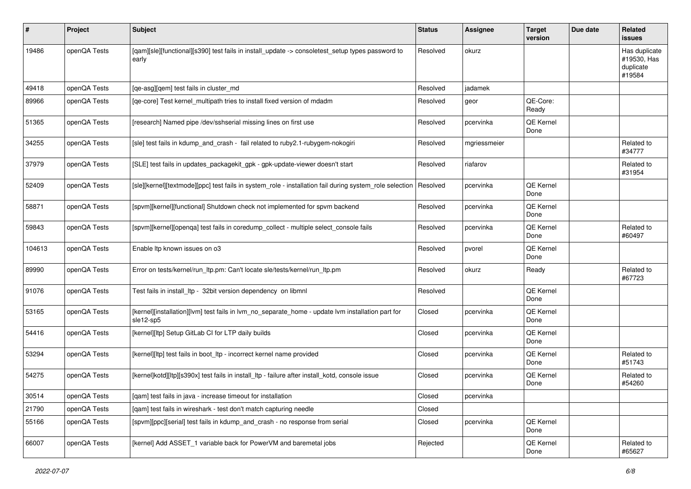| ∦      | Project      | Subject                                                                                                        | <b>Status</b> | <b>Assignee</b> | <b>Target</b><br>version | Due date | Related<br><b>issues</b>                            |
|--------|--------------|----------------------------------------------------------------------------------------------------------------|---------------|-----------------|--------------------------|----------|-----------------------------------------------------|
| 19486  | openQA Tests | [gam][sle][functional][s390] test fails in install_update -> consoletest_setup types password to<br>early      | Resolved      | okurz           |                          |          | Has duplicate<br>#19530, Has<br>duplicate<br>#19584 |
| 49418  | openQA Tests | [qe-asg][qem] test fails in cluster_md                                                                         | Resolved      | jadamek         |                          |          |                                                     |
| 89966  | openQA Tests | [qe-core] Test kernel_multipath tries to install fixed version of mdadm                                        | Resolved      | geor            | QE-Core:<br>Ready        |          |                                                     |
| 51365  | openQA Tests | [research] Named pipe /dev/sshserial missing lines on first use                                                | Resolved      | pcervinka       | QE Kernel<br>Done        |          |                                                     |
| 34255  | openQA Tests | [sle] test fails in kdump_and_crash - fail related to ruby2.1-rubygem-nokogiri                                 | Resolved      | mgriessmeier    |                          |          | Related to<br>#34777                                |
| 37979  | openQA Tests | [SLE] test fails in updates_packagekit_gpk - gpk-update-viewer doesn't start                                   | Resolved      | riafarov        |                          |          | Related to<br>#31954                                |
| 52409  | openQA Tests | [sle][kernel][textmode][ppc] test fails in system_role - installation fail during system_role selection        | Resolved      | pcervinka       | QE Kernel<br>Done        |          |                                                     |
| 58871  | openQA Tests | [spvm][kernel][functional] Shutdown check not implemented for spvm backend                                     | Resolved      | pcervinka       | QE Kernel<br>Done        |          |                                                     |
| 59843  | openQA Tests | [spvm][kernel][openqa] test fails in coredump_collect - multiple select_console fails                          | Resolved      | pcervinka       | QE Kernel<br>Done        |          | Related to<br>#60497                                |
| 104613 | openQA Tests | Enable Itp known issues on o3                                                                                  | Resolved      | pvorel          | QE Kernel<br>Done        |          |                                                     |
| 89990  | openQA Tests | Error on tests/kernel/run_ltp.pm: Can't locate sle/tests/kernel/run_ltp.pm                                     | Resolved      | okurz           | Ready                    |          | Related to<br>#67723                                |
| 91076  | openQA Tests | Test fails in install_ltp - 32bit version dependency on libmnl                                                 | Resolved      |                 | QE Kernel<br>Done        |          |                                                     |
| 53165  | openQA Tests | [kernel][installation][lvm] test fails in lvm_no_separate_home - update lvm installation part for<br>sle12-sp5 | Closed        | pcervinka       | QE Kernel<br>Done        |          |                                                     |
| 54416  | openQA Tests | [kernel][ltp] Setup GitLab CI for LTP daily builds                                                             | Closed        | pcervinka       | QE Kernel<br>Done        |          |                                                     |
| 53294  | openQA Tests | [kernel][ltp] test fails in boot_ltp - incorrect kernel name provided                                          | Closed        | pcervinka       | QE Kernel<br>Done        |          | Related to<br>#51743                                |
| 54275  | openQA Tests | [kernel]kotd][ltp][s390x] test fails in install_ltp - failure after install_kotd, console issue                | Closed        | pcervinka       | <b>QE Kernel</b><br>Done |          | Related to<br>#54260                                |
| 30514  | openQA Tests | [qam] test fails in java - increase timeout for installation                                                   | Closed        | pcervinka       |                          |          |                                                     |
| 21790  | openQA Tests | [gam] test fails in wireshark - test don't match capturing needle                                              | Closed        |                 |                          |          |                                                     |
| 55166  | openQA Tests | [spvm][ppc][serial] test fails in kdump_and_crash - no response from serial                                    | Closed        | pcervinka       | QE Kernel<br>Done        |          |                                                     |
| 66007  | openQA Tests | [kernel] Add ASSET_1 variable back for PowerVM and baremetal jobs                                              | Rejected      |                 | QE Kernel<br>Done        |          | Related to<br>#65627                                |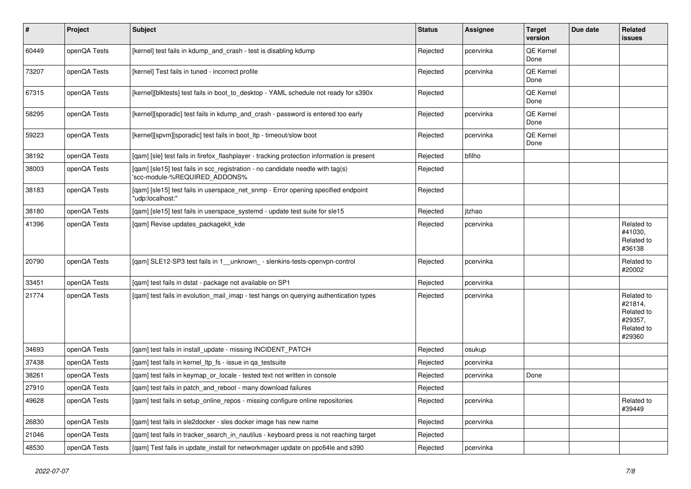| $\vert$ # | <b>Project</b> | <b>Subject</b>                                                                                                  | <b>Status</b> | <b>Assignee</b> | <b>Target</b><br>version | Due date | <b>Related</b><br><b>issues</b>                                        |
|-----------|----------------|-----------------------------------------------------------------------------------------------------------------|---------------|-----------------|--------------------------|----------|------------------------------------------------------------------------|
| 60449     | openQA Tests   | [kernel] test fails in kdump and crash - test is disabling kdump                                                | Rejected      | pcervinka       | <b>QE Kernel</b><br>Done |          |                                                                        |
| 73207     | openQA Tests   | [kernel] Test fails in tuned - incorrect profile                                                                | Rejected      | pcervinka       | <b>QE Kernel</b><br>Done |          |                                                                        |
| 67315     | openQA Tests   | [kernel][blktests] test fails in boot to desktop - YAML schedule not ready for s390x                            | Rejected      |                 | <b>QE Kernel</b><br>Done |          |                                                                        |
| 58295     | openQA Tests   | [kernel][sporadic] test fails in kdump_and_crash - password is entered too early                                | Rejected      | pcervinka       | <b>QE Kernel</b><br>Done |          |                                                                        |
| 59223     | openQA Tests   | [kernel][spvm][sporadic] test fails in boot_ltp - timeout/slow boot                                             | Rejected      | pcervinka       | QE Kernel<br>Done        |          |                                                                        |
| 38192     | openQA Tests   | [gam] [sle] test fails in firefox flashplayer - tracking protection information is present                      | Rejected      | bfilho          |                          |          |                                                                        |
| 38003     | openQA Tests   | [qam] [sle15] test fails in scc_registration - no candidate needle with tag(s)<br>'scc-module-%REQUIRED_ADDONS% | Rejected      |                 |                          |          |                                                                        |
| 38183     | openQA Tests   | [gam] [sle15] test fails in userspace net snmp - Error opening specified endpoint<br>"udp:localhost:"           | Rejected      |                 |                          |          |                                                                        |
| 38180     | openQA Tests   | [qam] [sle15] test fails in userspace_systemd - update test suite for sle15                                     | Rejected      | itzhao          |                          |          |                                                                        |
| 41396     | openQA Tests   | [gam] Revise updates packagekit kde                                                                             | Rejected      | pcervinka       |                          |          | Related to<br>#41030,<br>Related to<br>#36138                          |
| 20790     | openQA Tests   | [gam] SLE12-SP3 test fails in 1 unknown - slenkins-tests-openvpn-control                                        | Rejected      | pcervinka       |                          |          | Related to<br>#20002                                                   |
| 33451     | openQA Tests   | [gam] test fails in dstat - package not available on SP1                                                        | Rejected      | pcervinka       |                          |          |                                                                        |
| 21774     | openQA Tests   | [qam] test fails in evolution_mail_imap - test hangs on querying authentication types                           | Rejected      | pcervinka       |                          |          | Related to<br>#21814,<br>Related to<br>#29357,<br>Related to<br>#29360 |
| 34693     | openQA Tests   | [gam] test fails in install update - missing INCIDENT PATCH                                                     | Rejected      | osukup          |                          |          |                                                                        |
| 37438     | openQA Tests   | [gam] test fails in kernel Itp fs - issue in ga testsuite                                                       | Rejected      | pcervinka       |                          |          |                                                                        |
| 38261     | openQA Tests   | [gam] test fails in keymap or locale - tested text not written in console                                       | Rejected      | pcervinka       | Done                     |          |                                                                        |
| 27910     | openQA Tests   | [gam] test fails in patch and reboot - many download failures                                                   | Rejected      |                 |                          |          |                                                                        |
| 49628     | openQA Tests   | [qam] test fails in setup_online_repos - missing configure online repositories                                  | Rejected      | pcervinka       |                          |          | Related to<br>#39449                                                   |
| 26830     | openQA Tests   | [gam] test fails in sle2docker - sles docker image has new name                                                 | Rejected      | pcervinka       |                          |          |                                                                        |
| 21046     | openQA Tests   | [gam] test fails in tracker_search_in_nautilus - keyboard press is not reaching target                          | Rejected      |                 |                          |          |                                                                        |
| 48530     | openQA Tests   | [gam] Test fails in update install for networkmager update on ppc64le and s390                                  | Rejected      | pcervinka       |                          |          |                                                                        |